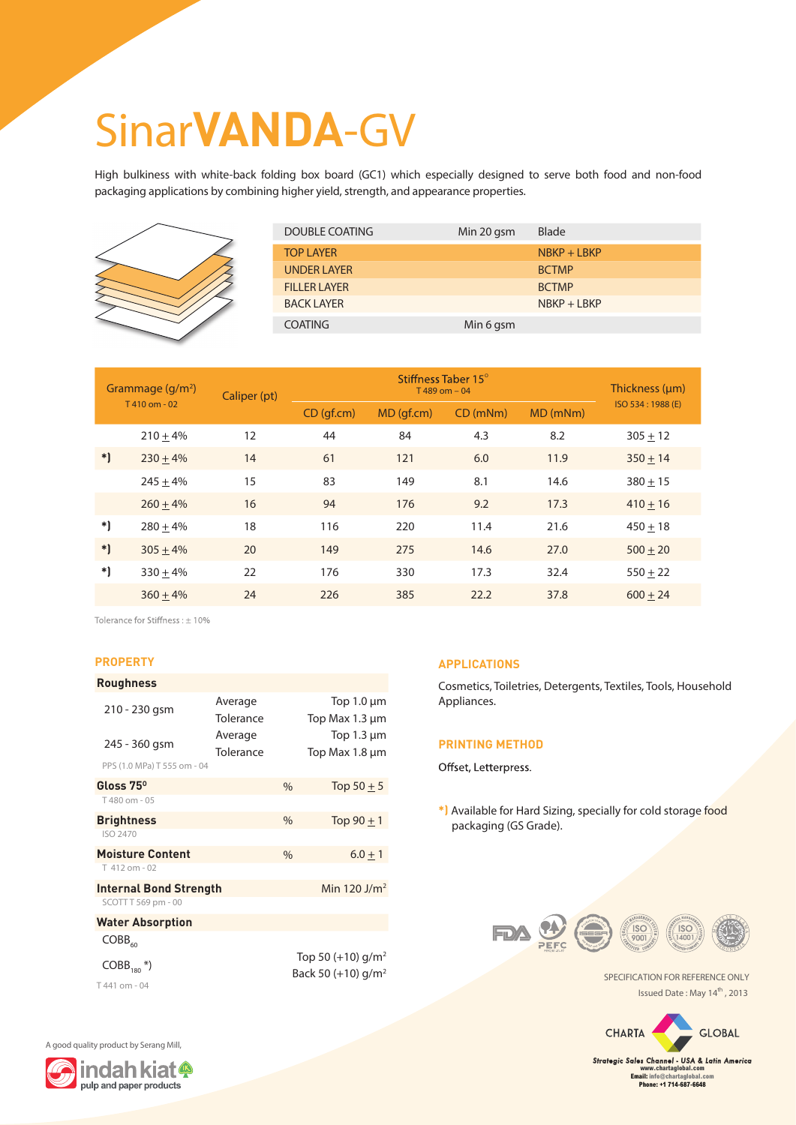## Sinar**VANDA**-GV

High bulkiness with white-back folding box board (GC1) which especially designed to serve both food and non-food packaging applications by combining higher yield, strength, and appearance properties.



| <b>DOUBLE COATING</b> | Min 20 gsm | <b>Blade</b> |
|-----------------------|------------|--------------|
| <b>TOP LAYER</b>      |            | $NBF + LBFP$ |
| <b>UNDER LAYER</b>    |            | <b>BCTMP</b> |
| <b>FILLER LAYER</b>   |            | <b>BCTMP</b> |
| <b>BACK LAYER</b>     |            | $NBF + LBFP$ |
| <b>COATING</b>        | Min 6 gsm  |              |

| Grammage $(g/m^2)$<br>T410 om - 02 |            | Caliper (pt) | Stiffness Taber 15°<br>$T$ 489 om - 04 |           |         |          | Thickness (µm)    |
|------------------------------------|------------|--------------|----------------------------------------|-----------|---------|----------|-------------------|
|                                    |            |              | CD(qf.cm)                              | MD(qf.cm) | CD(mNm) | MD (mNm) | ISO 534: 1988 (E) |
|                                    | $210 + 4%$ | 12           | 44                                     | 84        | 4.3     | 8.2      | $305 + 12$        |
| $*$                                | $230 + 4%$ | 14           | 61                                     | 121       | 6.0     | 11.9     | $350 + 14$        |
|                                    | $245 + 4%$ | 15           | 83                                     | 149       | 8.1     | 14.6     | $380 + 15$        |
|                                    | $260 + 4%$ | 16           | 94                                     | 176       | 9.2     | 17.3     | $410 + 16$        |
| *)                                 | $280 + 4%$ | 18           | 116                                    | 220       | 11.4    | 21.6     | $450 + 18$        |
| $\ast$                             | $305 + 4%$ | 20           | 149                                    | 275       | 14.6    | 27.0     | $500 + 20$        |
| *)                                 | $330 + 4%$ | 22           | 176                                    | 330       | 17.3    | 32.4     | $550 + 22$        |
|                                    | $360 + 4%$ | 24           | 226                                    | 385       | 22.2    | 37.8     | $600 + 24$        |

Tolerance for Stiffness:  $\pm$  10%

#### **PROPERTY**

| <b>Roughness</b>              |           |                |                                 |  |  |  |
|-------------------------------|-----------|----------------|---------------------------------|--|--|--|
| 210 - 230 gsm                 | Average   |                | Top $1.0 \mu m$                 |  |  |  |
|                               | Tolerance |                | Top Max $1.3 \mu m$             |  |  |  |
| 245 - 360 gsm                 | Average   |                | Top $1.3 \mu m$                 |  |  |  |
|                               | Tolerance |                | Top Max 1.8 µm                  |  |  |  |
| PPS (1.0 MPa) T 555 om - 04   |           |                |                                 |  |  |  |
| Gloss 75 <sup>°</sup>         |           | $\%$           | Top $50 \pm 5$                  |  |  |  |
| T480 om - 05                  |           |                |                                 |  |  |  |
| <b>Brightness</b>             |           | $\frac{0}{0}$  | Top $90 + 1$                    |  |  |  |
| ISO 2470                      |           |                |                                 |  |  |  |
| <b>Moisture Content</b>       |           | $\frac{0}{0}$  | $6.0 + 1$                       |  |  |  |
| T 412 om - 02                 |           |                |                                 |  |  |  |
| <b>Internal Bond Strength</b> |           | Min 120 $J/m2$ |                                 |  |  |  |
| SCOTT T 569 pm - 00           |           |                |                                 |  |  |  |
| <b>Water Absorption</b>       |           |                |                                 |  |  |  |
| $COBB_{60}$                   |           |                |                                 |  |  |  |
|                               |           |                | Top 50 $(+10)$ g/m <sup>2</sup> |  |  |  |
| $COBB_{180}$ <sup>*</sup> )   |           |                | Back 50 (+10) $q/m^2$           |  |  |  |

### **APPLICATIONS**

Cosmetics, Toiletries, Detergents, Textiles, Tools, Household Appliances.

#### **PRINTING METHOD**

Offset, Letterpress.

**\*)** Available for Hard Sizing, specially for cold storage food packaging (GS Grade).



SPECIFICATION FOR REFERENCE ONLY Issued Date: May 14<sup>th</sup>, 2013



*Strategic Sales Channel - USA & Latin America* **www.chartaglobal.com Email: info@chartaglobal.com Phone: +1 714-687-6648**





T 441 om - 04